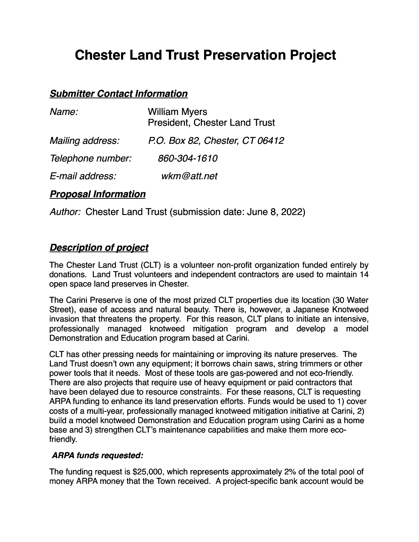# **Chester Land Trust Preservation Project**

## *Submitter Contact Information*

| Name:             | <b>William Myers</b><br><b>President, Chester Land Trust</b> |
|-------------------|--------------------------------------------------------------|
| Mailing address:  | P.O. Box 82, Chester, CT 06412                               |
| Telephone number: | 860-304-1610                                                 |
| E-mail address:   | wkm@att.net                                                  |

## *Proposal Information*

*Author:* Chester Land Trust (submission date: June 8, 2022)

## *Description of project*

The Chester Land Trust (CLT) is a volunteer non-profit organization funded entirely by donations. Land Trust volunteers and independent contractors are used to maintain 14 open space land preserves in Chester.

The Carini Preserve is one of the most prized CLT properties due its location (30 Water Street), ease of access and natural beauty. There is, however, a Japanese Knotweed invasion that threatens the property. For this reason, CLT plans to initiate an intensive, professionally managed knotweed mitigation program and develop a model Demonstration and Education program based at Carini.

CLT has other pressing needs for maintaining or improving its nature preserves. The Land Trust doesn't own any equipment; it borrows chain saws, string trimmers or other power tools that it needs. Most of these tools are gas-powered and not eco-friendly. There are also projects that require use of heavy equipment or paid contractors that have been delayed due to resource constraints. For these reasons, CLT is requesting ARPA funding to enhance its land preservation efforts. Funds would be used to 1) cover costs of a multi-year, professionally managed knotweed mitigation initiative at Carini, 2) build a model knotweed Demonstration and Education program using Carini as a home base and 3) strengthen CLT's maintenance capabilities and make them more ecofriendly.

#### *ARPA funds requested:*

The funding request is \$25,000, which represents approximately 2% of the total pool of money ARPA money that the Town received. A project-specific bank account would be